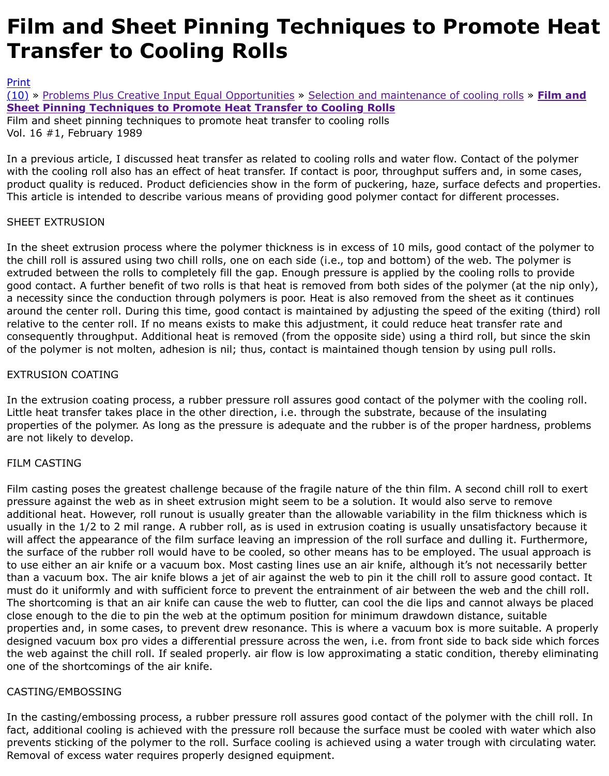#### **Sheet Pinning Techniques to Promote Heat Transfer to Cooling Rolls**

Film and sheet pinning techniques to promote heat transfer to cooling rolls Vol. 16 #1, February 1989

In a previous article, I discussed heat transfer as related to cooling rolls and water flow. Contact of with the cooling roll also has an effect of heat transfer. If contact is poor, throughput suffers and, in [produ](http://extrusionwiki.com/wiki/Print.aspx?Page=CC-V16-1-B)ct quality is reduced. Product deficiencies show in the form of puckering, haze, surface defects [This](http://extrusionwiki.com/wiki/CC-V16-1-B.ashx#) [art](http://extrusionwiki.com/wiki/CC-V16-1-B.ashx)[icle is intended to describe various means of pro](http://extrusionwiki.com/wiki/CC-V15-3-A.ashx)[vid](http://extrusionwiki.com/wiki/CC-V16-1-B.ashx)ing good polymer contact for different pr

# SHEET EXTRUSION

In the sheet extrusion process where the polymer thickness is in excess of 10 mils, good contact of the chill roll is assured using two chill rolls, one on each side (i.e., top and bottom) of the web. The extruded between the rolls to completely fill the gap. Enough pressure is applied by the cooling rolls good contact. A further benefit of two rolls is that heat is removed from both sides of the polymer (at the nip a necessity since the conduction through polymers is poor. Heat is also removed from the sheet as i around the center roll. During this time, good contact is maintained by adjusting the speed of the ex relative to the center roll. If no means exists to make this adjustment, it could reduce heat transfer consequently throughput. Additional heat is removed (from the opposite side) using a third roll, but of the polymer is not molten, adhesion is nil; thus, contact is maintained though tension by using po

# EXTRUSION COATING

In the extrusion coating process, a rubber pressure roll assures good contact of the polymer with the Little heat transfer takes place in the other direction, i.e. through the substrate, because of the insu properties of the polymer. As long as the pressure is adequate and the rubber is of the proper hardr are not likely to develop.

## FILM CASTING

Film casting poses the greatest challenge because of the fragile nature of the thin film. A second chill pressure against the web as in sheet extrusion might seem to be a solution. It would also serve to r additional heat. However, roll runout is usually greater than the allowable variability in the film thick usually in the 1/2 to 2 mil range. A rubber roll, as is used in extrusion coating is usually unsatisfactor will affect the appearance of the film surface leaving an impression of the roll surface and dulling it. the surface of the rubber roll would have to be cooled, so other means has to be employed. The usu to use either an air knife or a vacuum box. Most casting lines use an air knife, although it's not nece than a vacuum box. The air knife blows a jet of air against the web to pin it the chill roll to assure g must do it uniformly and with sufficient force to prevent the entrainment of air between the web and The shortcoming is that an air knife can cause the web to flutter, can cool the die lips and cannot always be p close enough to the die to pin the web at the optimum position for minimum drawdown distance, su properties and, in some cases, to prevent drew resonance. This is where a vacuum box is more suit designed vacuum box pro vides a differential pressure across the wen, i.e. from front side to back s the web against the chill roll. If sealed properly, air flow is low approximating a static condition, the one of the shortcomings of the air knife.

## CASTING/EMBOSSING

In the casting/embossing process, a rubber pressure roll assures good contact of the polymer with the child roll. In fact, additional cooling is achieved with the pressure roll because the surface must be cooled with w prevents sticking of the polymer to the roll. Surface cooling is achieved using a water trough with ci Removal of excess water requires properly designed equipment.